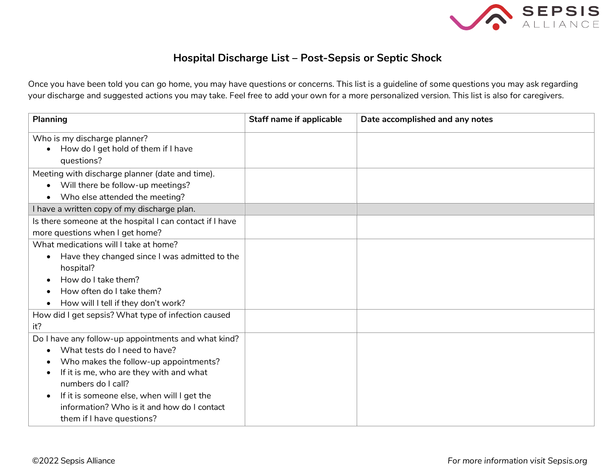

## **Hospital Discharge List – Post-Sepsis or Septic Shock**

Once you have been told you can go home, you may have questions or concerns. This list is a guideline of some questions you may ask regarding your discharge and suggested actions you may take. Feel free to add your own for a more personalized version. This list is also for caregivers.

| <b>Planning</b>                                                                                                                                                                                                                                                                                                                       | <b>Staff name if applicable</b> | Date accomplished and any notes |
|---------------------------------------------------------------------------------------------------------------------------------------------------------------------------------------------------------------------------------------------------------------------------------------------------------------------------------------|---------------------------------|---------------------------------|
| Who is my discharge planner?<br>How do I get hold of them if I have<br>questions?                                                                                                                                                                                                                                                     |                                 |                                 |
| Meeting with discharge planner (date and time).<br>Will there be follow-up meetings?<br>$\bullet$<br>Who else attended the meeting?                                                                                                                                                                                                   |                                 |                                 |
| I have a written copy of my discharge plan.                                                                                                                                                                                                                                                                                           |                                 |                                 |
| Is there someone at the hospital I can contact if I have<br>more questions when I get home?                                                                                                                                                                                                                                           |                                 |                                 |
| What medications will I take at home?<br>Have they changed since I was admitted to the<br>$\bullet$<br>hospital?<br>How do I take them?<br>How often do I take them?<br>How will I tell if they don't work?<br>How did I get sepsis? What type of infection caused                                                                    |                                 |                                 |
| it?                                                                                                                                                                                                                                                                                                                                   |                                 |                                 |
| Do I have any follow-up appointments and what kind?<br>What tests do I need to have?<br>Who makes the follow-up appointments?<br>If it is me, who are they with and what<br>numbers do I call?<br>If it is someone else, when will I get the<br>$\bullet$<br>information? Who is it and how do I contact<br>them if I have questions? |                                 |                                 |